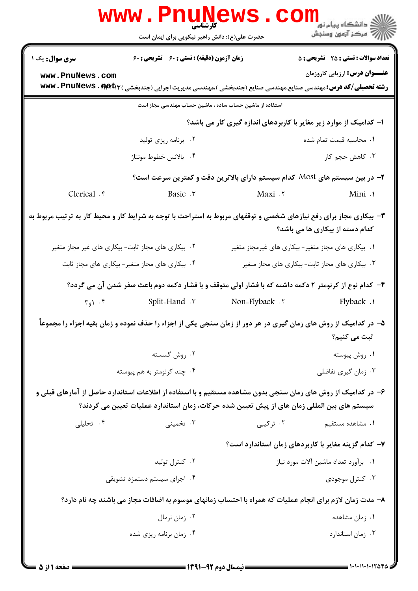|                        | www.PnuNews                                                                                                                                                                                                  |                 |                                                                                                                                                                         |
|------------------------|--------------------------------------------------------------------------------------------------------------------------------------------------------------------------------------------------------------|-----------------|-------------------------------------------------------------------------------------------------------------------------------------------------------------------------|
|                        | حضرت علی(ع): دانش راهبر نیکویی برای ایمان است                                                                                                                                                                |                 | ري دانشگاه پيام نور<br>اين مرکز آزمون وسنجش                                                                                                                             |
| <b>سری سوال :</b> یک ۱ | <b>زمان آزمون (دقیقه) : تستی : 60 ٪ تشریحی : 60</b>                                                                                                                                                          |                 | <b>تعداد سوالات : تستی : 25 گشریحی : 5</b>                                                                                                                              |
| www.PnuNews.com        |                                                                                                                                                                                                              |                 | <b>عنـــوان درس:</b> ارزیابی کاروزمان<br><b>رشته تحصیلی/کد درس:</b> مهندسی صنایع،مهندسی صنایع (چندبخشی )،مهندسی مدیریت اجرایی (چندبخشی ) <b>www . PnuNews . firet</b> r |
|                        | استفاده از ماشین حساب ساده ، ماشین حساب مهندسی مجاز است                                                                                                                                                      |                 |                                                                                                                                                                         |
|                        |                                                                                                                                                                                                              |                 | ا– کدامیک از موارد زیر مغایر با کاربردهای اندازه گیری کار می باشد؟                                                                                                      |
|                        | ۰۲ برنامه ریزی تولید                                                                                                                                                                                         |                 | ٠١. محاسبه قيمت تمام شده                                                                                                                                                |
|                        | ۰۴ بالانس خطوط مونتاژ                                                                                                                                                                                        |                 | ۰۳ کاهش حجم کار                                                                                                                                                         |
|                        |                                                                                                                                                                                                              |                 | ۲- در بین سیستم های Most کدام سیستم دارای بالاترین دقت و کمترین سرعت است؟                                                                                               |
| Clerical . r           | Basic . ٣                                                                                                                                                                                                    | Maxi .r         | Mini .                                                                                                                                                                  |
|                        | ۳- بیکاری مجاز برای رفع نیازهای شخصی و توقفهای مربوط به استراحت با توجه به شرایط کار و محیط کار به ترتیب مربوط به                                                                                            |                 | کدام دسته از بیکاری ها می باشد؟                                                                                                                                         |
|                        | ۰۲ بیکاری های مجاز ثابت- بیکاری های غیر مجاز متغیر                                                                                                                                                           |                 | ۰۱ بیکاری های مجاز متغیر- بیکاری های غیرمجاز متغیر                                                                                                                      |
|                        | ۰۴ بیکاری های مجاز متغیر- بیکاری های مجاز ثابت                                                                                                                                                               |                 | ۰۳ بیکاری های مجاز ثابت- بیکاری های مجاز متغیر                                                                                                                          |
|                        | ۴– کدام نوع از کرنومتر ۲ دکمه داشته که با فشار اولی متوقف و با فشار دکمه دوم باعث صفر شدن آن می گردد؟                                                                                                        |                 |                                                                                                                                                                         |
| ۰۴ (و $\mathcal{F}$    | r Split-Hand ۲                                                                                                                                                                                               | Non-Flyback . ٢ | 1. Flyback                                                                                                                                                              |
|                        | ۵– در کدامیک از روش های زمان گیری در هر دور از زمان سنجی یکی از اجزاء را حذف نموده و زمان بقیه اجزاء را مجموعاً                                                                                              |                 | ثبت می کنیم؟                                                                                                                                                            |
|                        | ۰۲ روش گسسته                                                                                                                                                                                                 |                 | ۰۱ روش پیوسته                                                                                                                                                           |
|                        | ۰۴ چند کرنومتر به هم پیوسته                                                                                                                                                                                  |                 | ۰۳ زمان گیری تفاضلی                                                                                                                                                     |
|                        | ۶– در کدامیک از روش های زمان سنجی بدون مشاهده مستقیم و با استفاده از اطلاعات استاندارد حاصل از آمارهای قبلی و<br>سیستم های بین المللی زمان های از پیش تعیین شده حرکات، زمان استاندارد عملیات تعیین می گردند؟ |                 |                                                                                                                                                                         |
| ۰۴ تحلیلی              | ۰۳ تخمینی                                                                                                                                                                                                    | ۰۲ ترکیبی       | ۰۱ مشاهده مستقیم                                                                                                                                                        |
|                        |                                                                                                                                                                                                              |                 | ۷– کدام گزینه مغایر با کاربردهای زمان استاندارد است؟                                                                                                                    |
|                        | ۰۲ کنترل تولید                                                                                                                                                                                               |                 | ۰۱ برآورد تعداد ماشين آلات مورد نياز                                                                                                                                    |
|                        | ۰۴ اجرای سیستم دستمزد تشویقی                                                                                                                                                                                 |                 | ۰۳ کنترل موجودی                                                                                                                                                         |
|                        | ۸– مدت زمان لازم برای انجام عملیات که همراه با احتساب زمانهای موسوم به اضافات مجاز می باشند چه نام دارد؟                                                                                                     |                 |                                                                                                                                                                         |
|                        | ۰۲ زمان نرمال                                                                                                                                                                                                |                 | ۰۱ زمان مشاهده                                                                                                                                                          |
|                        | ۰۴ زمان برنامه ریزی شده                                                                                                                                                                                      |                 | ۰۳ زمان استاندارد                                                                                                                                                       |
|                        |                                                                                                                                                                                                              |                 |                                                                                                                                                                         |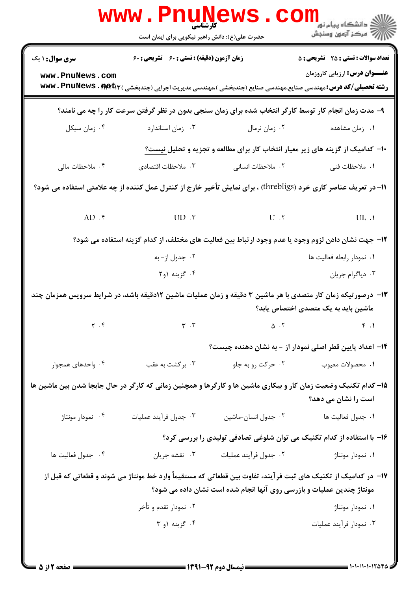|                                                                                                                                                     | <b>www.PnuNe</b><br><b>کارشناسی</b><br>حضرت علی(ع): دانش راهبر نیکویی برای ایمان است |                                                                       | <sup>ال</sup> ڪ دانشگاه پيام نور <sup>د</sup> ا<br>ا∛ مرکز آزمون وسنجش                                                                                                                                                  |  |  |  |  |
|-----------------------------------------------------------------------------------------------------------------------------------------------------|--------------------------------------------------------------------------------------|-----------------------------------------------------------------------|-------------------------------------------------------------------------------------------------------------------------------------------------------------------------------------------------------------------------|--|--|--|--|
| <b>سری سوال : ۱ یک</b><br>www.PnuNews.com                                                                                                           | <b>زمان آزمون (دقیقه) : تستی : 60 ٪ تشریحی : 60</b>                                  |                                                                       | <b>تعداد سوالات : تستی : 25 ۔ تشریحی : 5</b><br><b>عنـــوان درس:</b> ارزیابی کاروزمان<br><b>رشته تحصیلی/کد درس:</b> مهندسی صنایع،مهندسی صنایع (چندبخشی )،مهندسی مدیریت اجرایی (چندبخشی ) <b>www . PnuNews . firet</b> r |  |  |  |  |
|                                                                                                                                                     |                                                                                      |                                                                       | ۹– مدت زمان انجام کار توسط کارگر انتخاب شده برای زمان سنجی بدون در نظر گرفتن سرعت کار را چه می نامند؟                                                                                                                   |  |  |  |  |
| ۰۴ زمان سیکل                                                                                                                                        | ۰۳ زمان استاندارد                                                                    | ۰۲ زمان نرمال                                                         | ۰۱ زمان مشاهده                                                                                                                                                                                                          |  |  |  |  |
|                                                                                                                                                     |                                                                                      |                                                                       | <b>۱۰</b> - کدامیک از گزینه های زیر معیار انتخاب کار برای مطالعه و تجزیه و تحلیل نیست؟                                                                                                                                  |  |  |  |  |
| ۰۴ ملاحظات مالی                                                                                                                                     | ٠٣ ملاحظات اقتصادى                                                                   | ۰۲ ملاحظات انسانی                                                     | ۰۱ ملاحظات فنی                                                                                                                                                                                                          |  |  |  |  |
|                                                                                                                                                     |                                                                                      |                                                                       | 11- در تعریف عناصر کاری خرد (threbligs) ، برای نمایش تأخیر خارج از کنترل عمل کننده از چه علامتی استفاده می شود؟                                                                                                         |  |  |  |  |
| $AD .$ *                                                                                                                                            | $UD \cdot \tilde{v}$                                                                 | $U \cdot Y$ $UL \cdot Y$                                              |                                                                                                                                                                                                                         |  |  |  |  |
|                                                                                                                                                     |                                                                                      |                                                                       | ۱۲– جهت نشان دادن لزوم وجود یا عدم وجود ارتباط بین فعالیت های مختلف، از کدام گزینه استفاده می شود؟                                                                                                                      |  |  |  |  |
|                                                                                                                                                     | ۰۲ جدول از- به<br>٠١ نمودار رابطه فعاليت ها                                          |                                                                       |                                                                                                                                                                                                                         |  |  |  |  |
|                                                                                                                                                     | ۰۴ گزینه ۱و۲                                                                         | ۰۳ دیاگرام جریان                                                      |                                                                                                                                                                                                                         |  |  |  |  |
| ۱۳- درصورتیکه زمان کار متصدی با هر ماشین ۳ دقیقه و زمان عملیات ماشین ۱۲دقیقه باشد، در شرایط سرویس همزمان چند<br>ماشین باید به یک متصدی اختصاص یابد؟ |                                                                                      |                                                                       |                                                                                                                                                                                                                         |  |  |  |  |
| $\gamma$ . $\gamma$                                                                                                                                 | $\mathbf{r}$ . $\mathbf{r}$                                                          | $\Delta$ . T                                                          | $\uparrow$ .                                                                                                                                                                                                            |  |  |  |  |
|                                                                                                                                                     |                                                                                      |                                                                       | ۱۴– اعداد پایین قطر اصلی نمودار از – به نشان دهنده چیست؟                                                                                                                                                                |  |  |  |  |
| ۰۴ واحدهای همجوار                                                                                                                                   | ۰۳ برگشت به عقب                                                                      | ۰۲ حرکت رو به جلو                                                     | ٠١ محصولات معيوب                                                                                                                                                                                                        |  |  |  |  |
| ۱۵– کدام تکنیک وضعیت زمان کار و بیکاری ماشین ها و کارگرها و همچنین زمانی که کارگر در حال جابجا شدن بین ماشین ها<br>است را نشان می دهد؟              |                                                                                      |                                                                       |                                                                                                                                                                                                                         |  |  |  |  |
| ۰۴ نمودار مونتاژ                                                                                                                                    | ۰۳ جدول فرأيند عمليات                                                                | ٠٢ جدول انسان-ماشين                                                   | ٠١ جدول فعاليت ها                                                                                                                                                                                                       |  |  |  |  |
|                                                                                                                                                     |                                                                                      |                                                                       | ۱۶- با استفاده از کدام تکنیک می توان شلوغی تصادفی تولیدی را بررسی کرد؟                                                                                                                                                  |  |  |  |  |
| ۰۴ جدول فعاليت ها                                                                                                                                   | ۰۳ نقشه جريان                                                                        | ٠٢ جدول فرآيند عمليات                                                 | ۰۱ نمودار مونتاژ                                                                                                                                                                                                        |  |  |  |  |
|                                                                                                                                                     |                                                                                      | مونتاژ چندین عملیات و بازرسی روی آنها انجام شده است نشان داده می شود؟ | ۱۷– در کدامیک از تکنیک های ثبت فرآیند، تفاوت بین قطعاتی که مستقیماً وارد خط مونتاژ می شوند و قطعاتی که قبل از                                                                                                           |  |  |  |  |
|                                                                                                                                                     | ۰۲ نمودار تقدم و تأخر                                                                |                                                                       | ۰۱ نمودار مونتاژ                                                                                                                                                                                                        |  |  |  |  |
|                                                                                                                                                     | ۰۴ گزینه ۱و ۳                                                                        |                                                                       | ۰۳ نمودار فرآیند عملیات                                                                                                                                                                                                 |  |  |  |  |
|                                                                                                                                                     |                                                                                      |                                                                       |                                                                                                                                                                                                                         |  |  |  |  |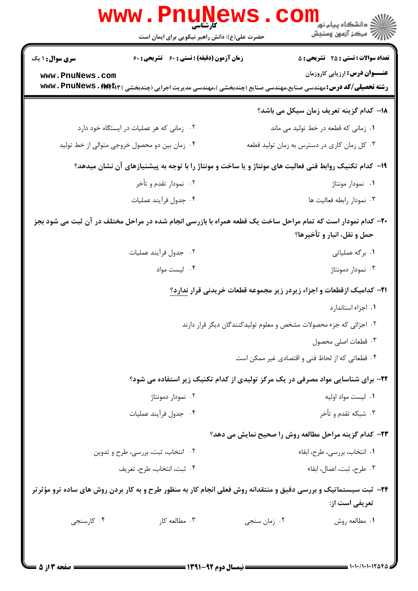|                        | <b>www.PnuNews</b><br><b>کا، شناسی</b><br>حضرت علی(ع): دانش راهبر نیکویی برای ایمان است | ر دانشڪاه پيام نور <mark>−</mark><br>ا∛ مرکز آزمون وسنڊش                                                                                                                |
|------------------------|-----------------------------------------------------------------------------------------|-------------------------------------------------------------------------------------------------------------------------------------------------------------------------|
| <b>سری سوال : ۱ یک</b> | زمان آزمون (دقیقه) : تستی : 60 ٪ تشریحی : 60                                            | <b>تعداد سوالات : تستی : 25 - تشریحی : 5</b>                                                                                                                            |
| www.PnuNews.com        |                                                                                         | <b>عنـــوان درس:</b> ارزیابی کاروزمان<br><b>رشته تحصیلی/کد درس:</b> مهندسی صنایع،مهندسی صنایع (چندبخشی )،مهندسی مدیریت اجرایی (چندبخشی ) <b>www . PnuNews . firet</b> r |
|                        |                                                                                         | 18– كدام گزينه تعريف زمان سيكل مي باشد؟                                                                                                                                 |
|                        | ۰۲ زمانی که هر عملیات در ایستگاه خود دارد                                               | ٠١ زمانى كه قطعه در خط توليد مى ماند                                                                                                                                    |
|                        | ۰۴ زمان بین دو محصول خروجی متوالی از خط تولید                                           | ۰۳ کل زمان کاری در دسترس به زمان تولید قطعه                                                                                                                             |
|                        |                                                                                         | ۱۹– کدام تکنیک روابط فنی فعالیت های مونتاژ و یا ساخت و مونتاژ را با توجه به پیشنیازهای آن نشان میدهد؟                                                                   |
|                        | ۰۲ نمودار تقدم و تأخر                                                                   | ۰۱ نمودار مونتاژ                                                                                                                                                        |
|                        | ۰۴ جدول فرآيند عمليات                                                                   | ۰۳ نمودار رابطه فعاليت ها                                                                                                                                               |
|                        |                                                                                         | +۲- کدام نمودار است که تمام مراحل ساخت یک قطعه همراه با بازرسی انجام شده در مراحل مختلف در آن ثبت می شود بجز<br>حمل و نقل، انبار و تأخيرها؟                             |
|                        | ۰۲ جدول فرآیند عملیات                                                                   | ۰۱ برگه عملیاتی                                                                                                                                                         |
|                        | ۰۴ لیست مواد                                                                            | ۰۳ نمودار دمونتاژ                                                                                                                                                       |
|                        |                                                                                         | <b>۲۱</b> – کدامیک ازقطعات و اجزاء زیردر زیر مجموعه قطعات خریدنی قرار ندارد؟                                                                                            |
|                        |                                                                                         | ۰۱ اجزاء استاندارد                                                                                                                                                      |
|                        |                                                                                         | ۲. اجزائی که جزء محصولات مشخص و معلوم تولیدکنندگان دیگر قرار دارند                                                                                                      |
|                        |                                                                                         | ۰۳ قطعات اصلی محصول                                                                                                                                                     |
|                        |                                                                                         | ۰۴ قطعاتی که از لحاظ فنی و اقتصادی غیر ممکن است                                                                                                                         |
|                        |                                                                                         | ۲۲- برای شناسایی مواد مصرفی در یک مرکز تولیدی از کدام تکنیک زیر استفاده می شود؟                                                                                         |
|                        | ۰۲ نمودار دمونتاژ                                                                       | ۰۱ لیست مواد اولیه                                                                                                                                                      |
|                        | ۰۴ جدول فرآيند عمليات                                                                   | ۰۳ شبکه تقدم و تأخر                                                                                                                                                     |
|                        |                                                                                         | ۲۳- کدام گزینه مراحل مطالعه روش را صحیح نمایش می دهد؟                                                                                                                   |
|                        | ۰۲ انتخاب، ثبت، بررسی، طرح و تدوین                                                      | ٠١ انتخاب، بررسي، طرح، ابقاء                                                                                                                                            |
|                        | ۰۴ ثبت، انتخاب، طرح، تعريف                                                              | ٠٣ طرح، ثبت، اعمال، ابقاء                                                                                                                                               |
|                        |                                                                                         | ۲۴- ثبت سیستماتیک و بررسی دقیق و منتقدانه روش فعلی انجام کار به منظور طرح و به کار بردن روش های ساده ترو مؤثرتر<br><b>تعریفی است از:</b>                                |
| ۰۴ کارسنجی             | ۰۳ مطالعه کار                                                                           | ۰۲ زمان سنجي<br>٠١ مطالعه روش                                                                                                                                           |
|                        |                                                                                         |                                                                                                                                                                         |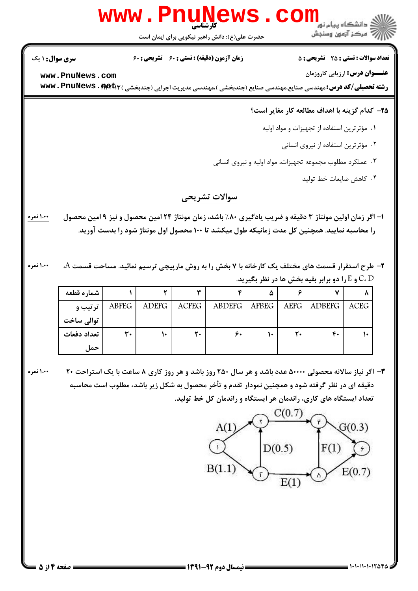$G(0.3)$ 

 $E(0.7)$ 

 $|F(1)|$ 

 $\Delta$ 

 $D(0.5)$ 

 $E(1)$ 

**825/10/1012 ــــــــــــــــــــــــــــــــ الله نوم 22-1311 ـــــــــــــــــــــــــــــ صفحه 4 از 5 =** 

## **۳-** اگر نیاز سالانه محصولی ۵۰۰۰۰ عدد باشد و هر سال ۲۵۰ روز باشد و هر روز کاری ۸ ساعت با یک استراحت ۲۰ ٪ مسعولی دقیقه ای در نظر گرفته شود و همچنین نمودار تقدم و تأخر محصول به شکل زیر باشد، مطلوب است محاسبه تعداد ایستگاه های کاری، راندمان هر ایستگاه و راندمان کل خط تولید.  $C(0.7)$

 $A(1)$ 

 $\mathbf{Y}$ 

 $B(1.1)$ 

|             | و E را دو برابر بقیه بخش ها در نظر بگیرید. $\mathsf{C},\mathsf{D}$ |              |              |               |              |             |               |             |
|-------------|--------------------------------------------------------------------|--------------|--------------|---------------|--------------|-------------|---------------|-------------|
| شماره قطعه  |                                                                    |              |              |               | ۵            |             |               |             |
| ترتیب و     | ABFEG                                                              | <b>ADEFG</b> | <b>ACFEG</b> | <b>ABDEFG</b> | <b>AFBEG</b> | <b>AEFG</b> | <b>ADBEFG</b> | <b>ACEG</b> |
| توالي ساخت  |                                                                    |              |              |               |              |             |               |             |
| تعداد دفعات | ٣.                                                                 |              | ٢٠           | ۶٠            |              | ٢.          | ۴٠            |             |
| حما ،       |                                                                    |              |              |               |              |             |               |             |

ا– اگر زمان اولین مونتاژ ۳ دقیقه و ضریب یادگیری ۸۰٪ باشد، زمان مونتاژ ۲۴ امین محصول و نیز ۹ امین محصول را محاسبه نمایید. همچنین کل مدت زمانیکه طول میکشد تا ۱۰۰ محصول اول مونتاژ شود را بدست آورید.

۲- طرح استقرار قسمت های مختلف یک کارخانه با ۷ بخش را به روش مارپیچی ترسیم نمائید. مساحت قسمت A، سیمید i،۰۰ نمر

۱،۰۰ نمره

۲۵– کدام گزینه با اهداف مطالعه کار مغایر است؟

ر**شته تحصیلی/کد درس:**مهندسی صنایع،مهندسی صنایع (چندبخشی )،مهندسی مدیریت اجرایی (چندبخشی ) **www . PnuNews . met** 

۱. مؤثر ترين استفاده از تجهيزات و مواد اوليه

۰۲ مؤثرترين استفاده از نيروى انسانى

۰۳ عملکرد مطلوب مجموعه تجهیزات، مواد اولیه و نیروی انسانی

۰۴ كاهش ضايعات خط توليد

## سوالات تشريحي

## كارشناسي **[www.PnuNews.com](http://pnunews.com)**

حضرت علی(ع): دانش راهبر نیکویی برای ایمان است

**[www.PnuNews.com](http://pnunews.com)**

نعداد سوالات : تستي : 25 تشريحي : 58 زمان آزمون (دقيقه) : تستي : 60 تشريحي : 60 ت

**عنـــوان درس:** ارزيابي كاروزمان